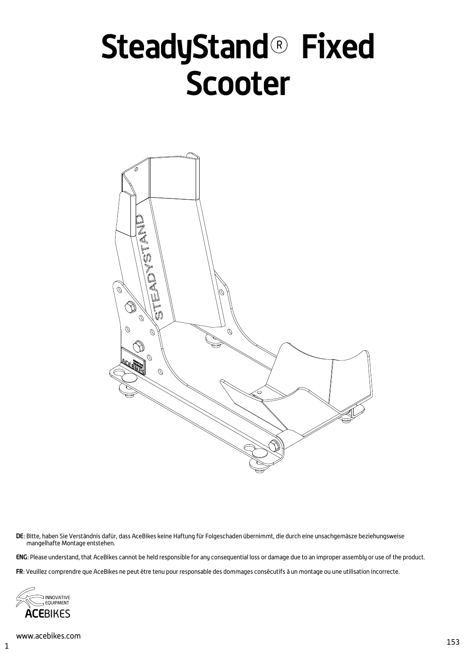# **SteadyStand® Fixed Scooter**



DE: Bitte, haben Sie Verständnis dafür, dass AceBikes keine Haftung für Folgeschaden übernimmt, die durch eine unsachgemäsze beziehungsweise mangelhafte Montage entstehen.

ENG: Please understand, that AceBikes cannot be held responsible for any consequential loss or damage due to an improper assembly or use of the product.

FR: Veuillez comprendre que AceBikes ne peut étre tenu pour responsable des dommages consécutifs à un montage ou une utilisation incorrecte.

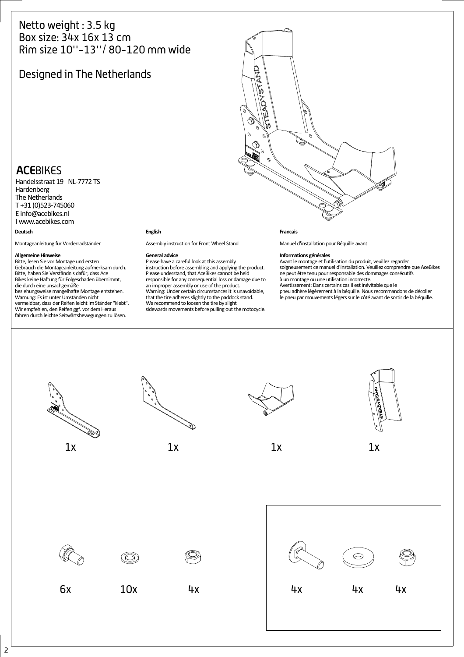## Netto weight : 3.5 kg Box size: 34x 16x 13 cm Rim size 10''-13''/ 80-120 mm wide

# Designed in The Netherlands



# **ACE**BIKES

**Deutsch** Handelsstraat 19 NL-7772 TS Hardenberg The Netherlands T +31 (0)523-745060 E info@acebikes.nl I www.acebikes.com

Montageanleitung für Vorderradständer

**Allgemeine Hinweise** Bitte, lesen Sie vor Montage und ersten Gebrauch die Montageanleitung aufmerksamdurch. Bitte, haben Sie Verständnis dafür, dass Ace Bikes keine Haftung für Folgeschaden übernimmt, die durch eine unsachgemäße beziehungsweise mangelhafte Montage entstehen. Warnung: Es ist unter Umständen nicht vermeidbar, dass der Reifen leicht im Ständer "klebt".<br>Wir empfehlen, den Reifen ggf. vor dem Heraus fahren durch leichte Seitwärtsbewegungen zu lösen.

### **English**

Assembly instruction for Front Wheel Stand

### **General advice**

Please have a careful look at this assembly instruction before assembling and applying the product. Please understand, that AceBikes cannot be held responsible for any consequential loss or damage due to an improper assembly or use of the product. Warning: Under certain circumstancesit is unavoidable, that the tire adheres slightly to the paddock stand. We recommend to loosen the tire by slight sidewards movements before pulling out the motocycle.

### **Francais**

Manuel d'installation pour BĠquille avant

**Informations générales**<br>Avant le montage et l'utilisation du produit, veuillez regarder soigneusement cemanuel d'installation. Veuillez comprendre que AceBikes ne peut être tenu pour responsable des dommages consécutifs à un montage ou une utilisation incorrecte.<br>Avertissement: Dans certains cas il est inévitable que le pneu adhğre lĠgğrement ă la bĠquille. Nousrecommandons de dĠcoller le pneu par mouvements légers sur le côté avant de sortir de la béquille.

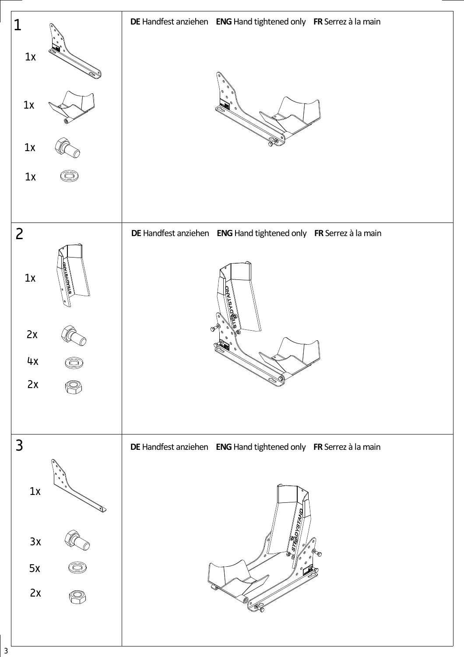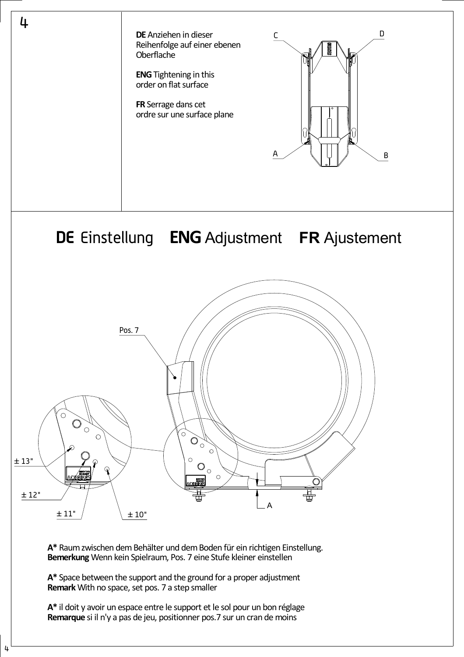